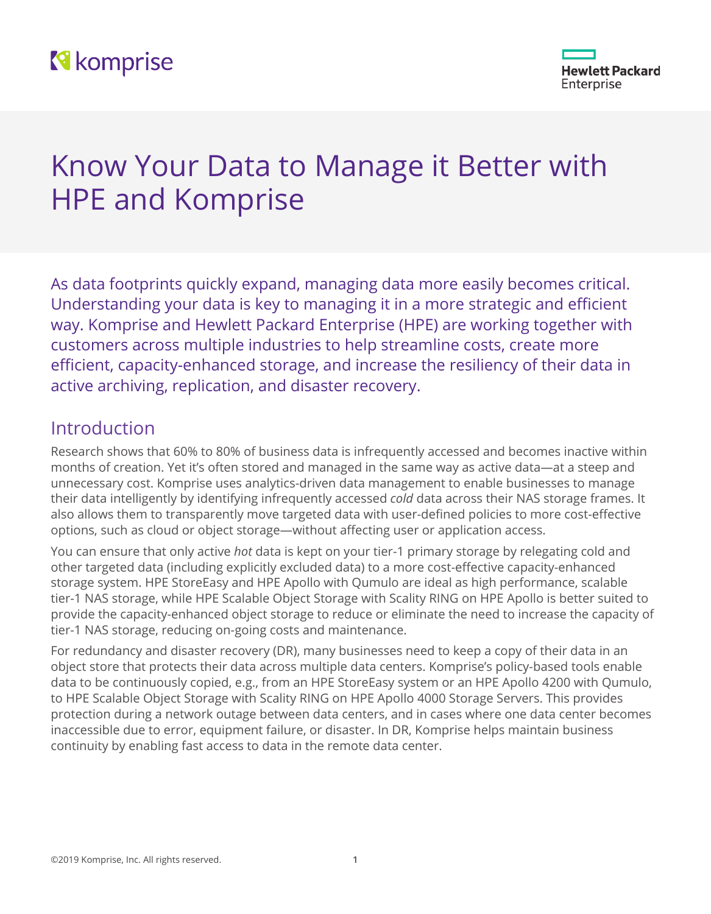# **N** komprise



# Know Your Data to Manage it Better with HPE and Komprise

As data footprints quickly expand, managing data more easily becomes critical. Understanding your data is key to managing it in a more strategic and efficient way. Komprise and Hewlett Packard Enterprise (HPE) are working together with customers across multiple industries to help streamline costs, create more efficient, capacity-enhanced storage, and increase the resiliency of their data in active archiving, replication, and disaster recovery.

# Introduction

Research shows that 60% to 80% of business data is infrequently accessed and becomes inactive within months of creation. Yet it's often stored and managed in the same way as active data—at a steep and unnecessary cost. Komprise uses analytics-driven data management to enable businesses to manage their data intelligently by identifying infrequently accessed *cold* data across their NAS storage frames. It also allows them to transparently move targeted data with user-defined policies to more cost-effective options, such as cloud or object storage—without affecting user or application access.

You can ensure that only active *hot* data is kept on your tier-1 primary storage by relegating cold and other targeted data (including explicitly excluded data) to a more cost-effective capacity-enhanced storage system. HPE StoreEasy and HPE Apollo with Qumulo are ideal as high performance, scalable tier-1 NAS storage, while HPE Scalable Object Storage with Scality RING on HPE Apollo is better suited to provide the capacity-enhanced object storage to reduce or eliminate the need to increase the capacity of tier-1 NAS storage, reducing on-going costs and maintenance.

For redundancy and disaster recovery (DR), many businesses need to keep a copy of their data in an object store that protects their data across multiple data centers. Komprise's policy-based tools enable data to be continuously copied, e.g., from an HPE StoreEasy system or an HPE Apollo 4200 with Qumulo, to HPE Scalable Object Storage with Scality RING on HPE Apollo 4000 Storage Servers. This provides protection during a network outage between data centers, and in cases where one data center becomes inaccessible due to error, equipment failure, or disaster. In DR, Komprise helps maintain business continuity by enabling fast access to data in the remote data center.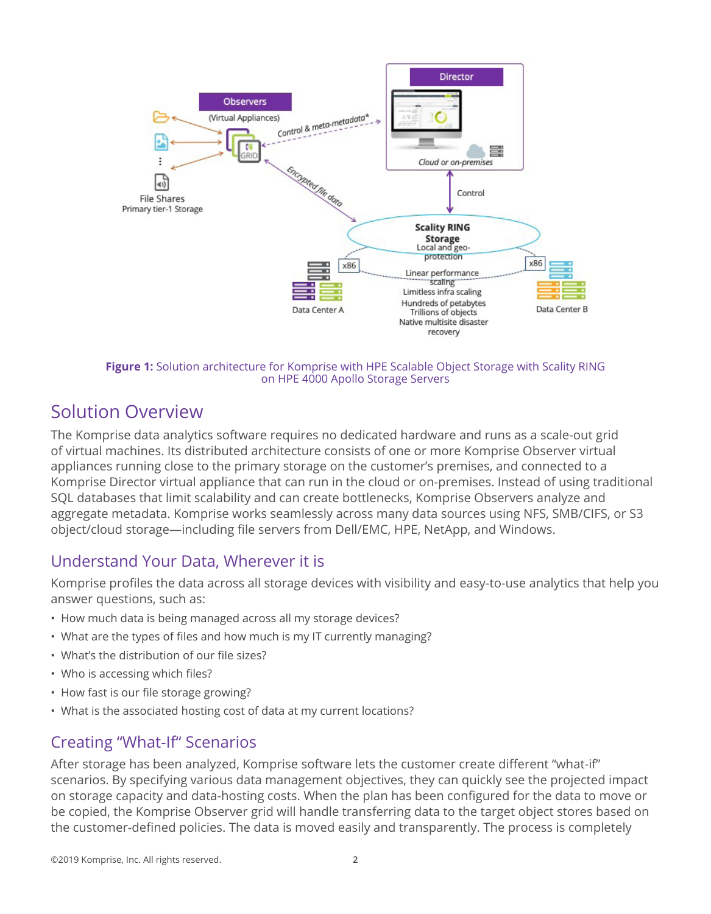

**Figure 1:** Solution architecture for Komprise with HPE Scalable Object Storage with Scality RING on HPE 4000 Apollo Storage Servers

# Solution Overview

The Komprise data analytics software requires no dedicated hardware and runs as a scale-out grid of virtual machines. Its distributed architecture consists of one or more Komprise Observer virtual appliances running close to the primary storage on the customer's premises, and connected to a Komprise Director virtual appliance that can run in the cloud or on-premises. Instead of using traditional SQL databases that limit scalability and can create bottlenecks, Komprise Observers analyze and aggregate metadata. Komprise works seamlessly across many data sources using NFS, SMB/CIFS, or S3 object/cloud storage—including file servers from Dell/EMC, HPE, NetApp, and Windows.

## Understand Your Data, Wherever it is

Komprise profiles the data across all storage devices with visibility and easy-to-use analytics that help you answer questions, such as:

- How much data is being managed across all my storage devices?
- What are the types of files and how much is my IT currently managing?
- What's the distribution of our file sizes?
- Who is accessing which files?
- How fast is our file storage growing?
- What is the associated hosting cost of data at my current locations?

## Creating "What-If" Scenarios

After storage has been analyzed, Komprise software lets the customer create different "what-if" scenarios. By specifying various data management objectives, they can quickly see the projected impact on storage capacity and data-hosting costs. When the plan has been configured for the data to move or be copied, the Komprise Observer grid will handle transferring data to the target object stores based on the customer-defined policies. The data is moved easily and transparently. The process is completely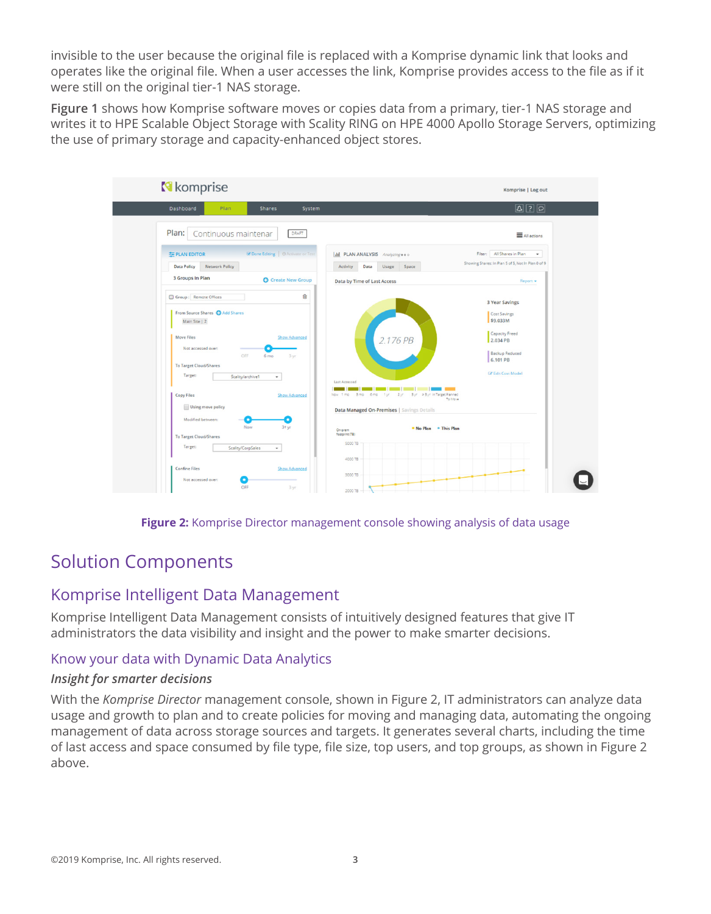invisible to the user because the original file is replaced with a Komprise dynamic link that looks and operates like the original file. When a user accesses the link, Komprise provides access to the file as if it were still on the original tier-1 NAS storage.

**Figure 1** shows how Komprise software moves or copies data from a primary, tier-1 NAS storage and writes it to HPE Scalable Object Storage with Scality RING on HPE 4000 Apollo Storage Servers, optimizing the use of primary storage and capacity-enhanced object stores.



**Figure 2:** Komprise Director management console showing analysis of data usage

# Solution Components

### Komprise Intelligent Data Management

Komprise Intelligent Data Management consists of intuitively designed features that give IT administrators the data visibility and insight and the power to make smarter decisions.

#### Know your data with Dynamic Data Analytics

#### *Insight for smarter decisions*

With the *Komprise Director* management console, shown in Figure 2, IT administrators can analyze data usage and growth to plan and to create policies for moving and managing data, automating the ongoing management of data across storage sources and targets. It generates several charts, including the time of last access and space consumed by file type, file size, top users, and top groups, as shown in Figure 2 above.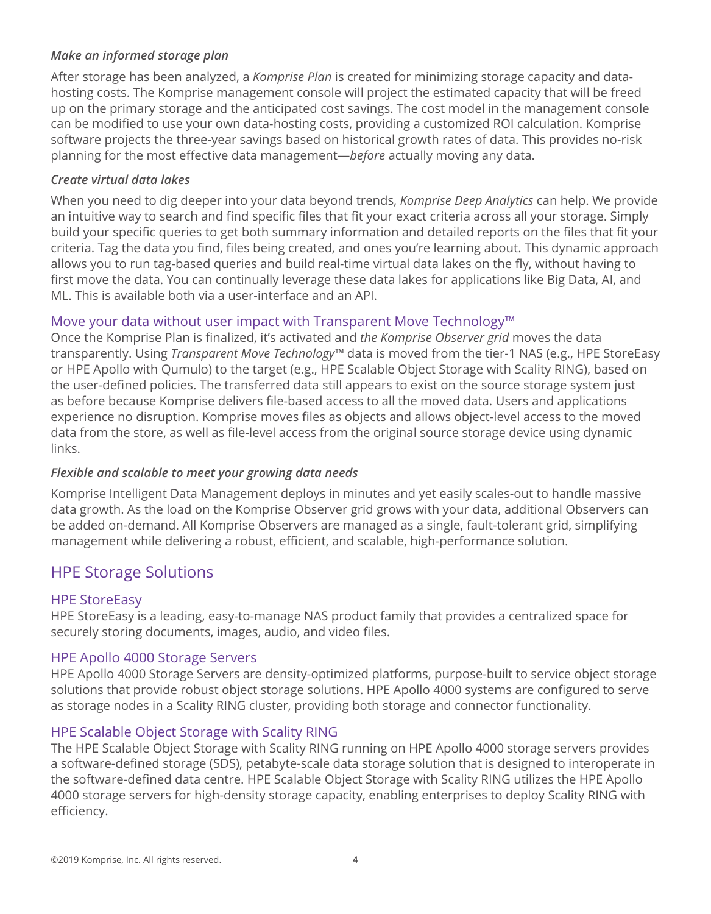#### *Make an informed storage plan*

After storage has been analyzed, a *Komprise Plan* is created for minimizing storage capacity and datahosting costs. The Komprise management console will project the estimated capacity that will be freed up on the primary storage and the anticipated cost savings. The cost model in the management console can be modified to use your own data-hosting costs, providing a customized ROI calculation. Komprise software projects the three-year savings based on historical growth rates of data. This provides no-risk planning for the most effective data management—*before* actually moving any data.

#### *Create virtual data lakes*

When you need to dig deeper into your data beyond trends, *Komprise Deep Analytics* can help. We provide an intuitive way to search and find specific files that fit your exact criteria across all your storage. Simply build your specific queries to get both summary information and detailed reports on the files that fit your criteria. Tag the data you find, files being created, and ones you're learning about. This dynamic approach allows you to run tag-based queries and build real-time virtual data lakes on the fly, without having to first move the data. You can continually leverage these data lakes for applications like Big Data, AI, and ML. This is available both via a user-interface and an API.

#### Move your data without user impact with Transparent Move Technology™

Once the Komprise Plan is finalized, it's activated and *the Komprise Observer grid* moves the data transparently. Using *Transparent Move Technology™* data is moved from the tier-1 NAS (e.g., HPE StoreEasy or HPE Apollo with Qumulo) to the target (e.g., HPE Scalable Object Storage with Scality RING), based on the user-defined policies. The transferred data still appears to exist on the source storage system just as before because Komprise delivers file-based access to all the moved data. Users and applications experience no disruption. Komprise moves files as objects and allows object-level access to the moved data from the store, as well as file-level access from the original source storage device using dynamic links.

#### *Flexible and scalable to meet your growing data needs*

Komprise Intelligent Data Management deploys in minutes and yet easily scales-out to handle massive data growth. As the load on the Komprise Observer grid grows with your data, additional Observers can be added on-demand. All Komprise Observers are managed as a single, fault-tolerant grid, simplifying management while delivering a robust, efficient, and scalable, high-performance solution.

## HPE Storage Solutions

#### HPE StoreEasy

HPE StoreEasy is a leading, easy-to-manage NAS product family that provides a centralized space for securely storing documents, images, audio, and video files.

#### HPE Apollo 4000 Storage Servers

HPE Apollo 4000 Storage Servers are density-optimized platforms, purpose-built to service object storage solutions that provide robust object storage solutions. HPE Apollo 4000 systems are configured to serve as storage nodes in a Scality RING cluster, providing both storage and connector functionality.

#### HPE Scalable Object Storage with Scality RING

The HPE Scalable Object Storage with Scality RING running on HPE Apollo 4000 storage servers provides a software-defined storage (SDS), petabyte-scale data storage solution that is designed to interoperate in the software-defined data centre. HPE Scalable Object Storage with Scality RING utilizes the HPE Apollo 4000 storage servers for high-density storage capacity, enabling enterprises to deploy Scality RING with efficiency.